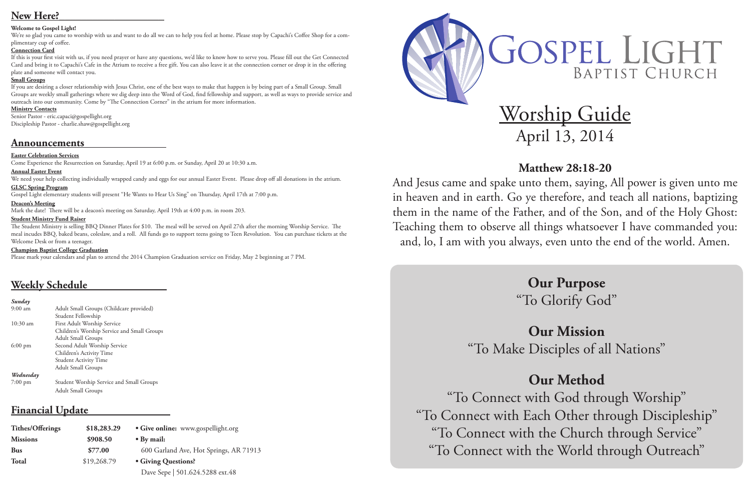# Worship Guide April 13, 2014

# **Matthew 28:18-20**

And Jesus came and spake unto them, saying, All power is given unto me in heaven and in earth. Go ye therefore, and teach all nations, baptizing them in the name of the Father, and of the Son, and of the Holy Ghost: Teaching them to observe all things whatsoever I have commanded you: and, lo, I am with you always, even unto the end of the world. Amen.

# **Our Purpose** "To Glorify God"

# **Our Mission**

"To Make Disciples of all Nations"

# **Our Method**

"To Connect with God through Worship" "To Connect with Each Other through Discipleship" "To Connect with the Church through Service" "To Connect with the World through Outreach"

# OSPEL LIGHT BAPTIST CHURCH

# New Here?

## **Welcome to Gospel Light!**

We're so glad you came to worship with us and want to do all we can to help you feel at home. Please stop by Capachi's Coffee Shop for a complimentary cup of coffee.

### **Connection Card**

If this is your first visit with us, if you need prayer or have any questions, we'd like to know how to serve you. Please fill out the Get Connected Card and bring it to Capachi's Cafe in the Atrium to receive a free gift. You can also leave it at the connection corner or drop it in the offering plate and someone will contact you.

# **Small Groups**

If you are desiring a closer relationship with Jesus Christ, one of the best ways to make that happen is by being part of a Small Group. Small Groups are weekly small gatherings where we dig deep into the Word of God, find fellowship and support, as well as ways to provide service and outreach into our community. Come by "The Connection Corner" in the atrium for more information.

## **Ministry Contacts**

Senior Pastor - eric.capaci@gospellight.org Discipleship Pastor - charlie.shaw@gospellight.org

# **Announcements**

# **Easter Celebration Services**

Come Experience the Resurrection on Saturday, April 19 at 6:00 p.m. or Sunday, April 20 at 10:30 a.m.

### **Annual Easter Event**

We need your help collecting individually wrapped candy and eggs for our annual Easter Event. Please drop off all donations in the atrium.

## **GLSC Spring Program**

Gospel Light elementary students will present "He Wants to Hear Us Sing" on Thursday, April 17th at 7:00 p.m.

### **Deacon's Meeting**

Mark the date! There will be a deacon's meeting on Saturday, April 19th at 4:00 p.m. in room 203.

### **Student Ministry Fund Raiser**

The Student Ministry is selling BBQ Dinner Plates for \$10. The meal will be served on April 27th after the morning Worship Service. The meal incudes BBQ, baked beans, coleslaw, and a roll. All funds go to support teens going to Teen Revolution. You can purchase tickets at the Welcome Desk or from a teenager.

### **Champion Baptist College Graduation**

Please mark your calendars and plan to attend the 2014 Champion Graduation service on Friday, May 2 beginning at 7 PM.

# **Weekly Schedule**

#### *Sunday*

| $9:00 \text{ am}$ | Adult Small Groups (Childcare provided)     |
|-------------------|---------------------------------------------|
|                   | Student Fellowship                          |
| $10:30$ am        | First Adult Worship Service                 |
|                   | Children's Worship Service and Small Groups |
|                   | <b>Adult Small Groups</b>                   |
| $6:00 \text{ pm}$ | Second Adult Worship Service                |
|                   | Children's Activity Time                    |
|                   | <b>Student Activity Time</b>                |
|                   | <b>Adult Small Groups</b>                   |
| Wednesday         |                                             |
| $7:00$ pm         | Student Worship Service and Small Groups    |
|                   | Adult Small Groups                          |

# **Financial Update**

| <b>Tithes/Offerings</b> | \$18,283.29 | • Give online: www.gospellight.org     |  |
|-------------------------|-------------|----------------------------------------|--|
| <b>Missions</b>         | \$908.50    | $\bullet$ By mail:                     |  |
| <b>Bus</b>              | \$77.00     | 600 Garland Ave, Hot Springs, AR 71913 |  |
| <b>Total</b>            | \$19,268.79 | • Giving Questions?                    |  |
|                         |             | Dave Sepe   501.624.5288 ext.48        |  |